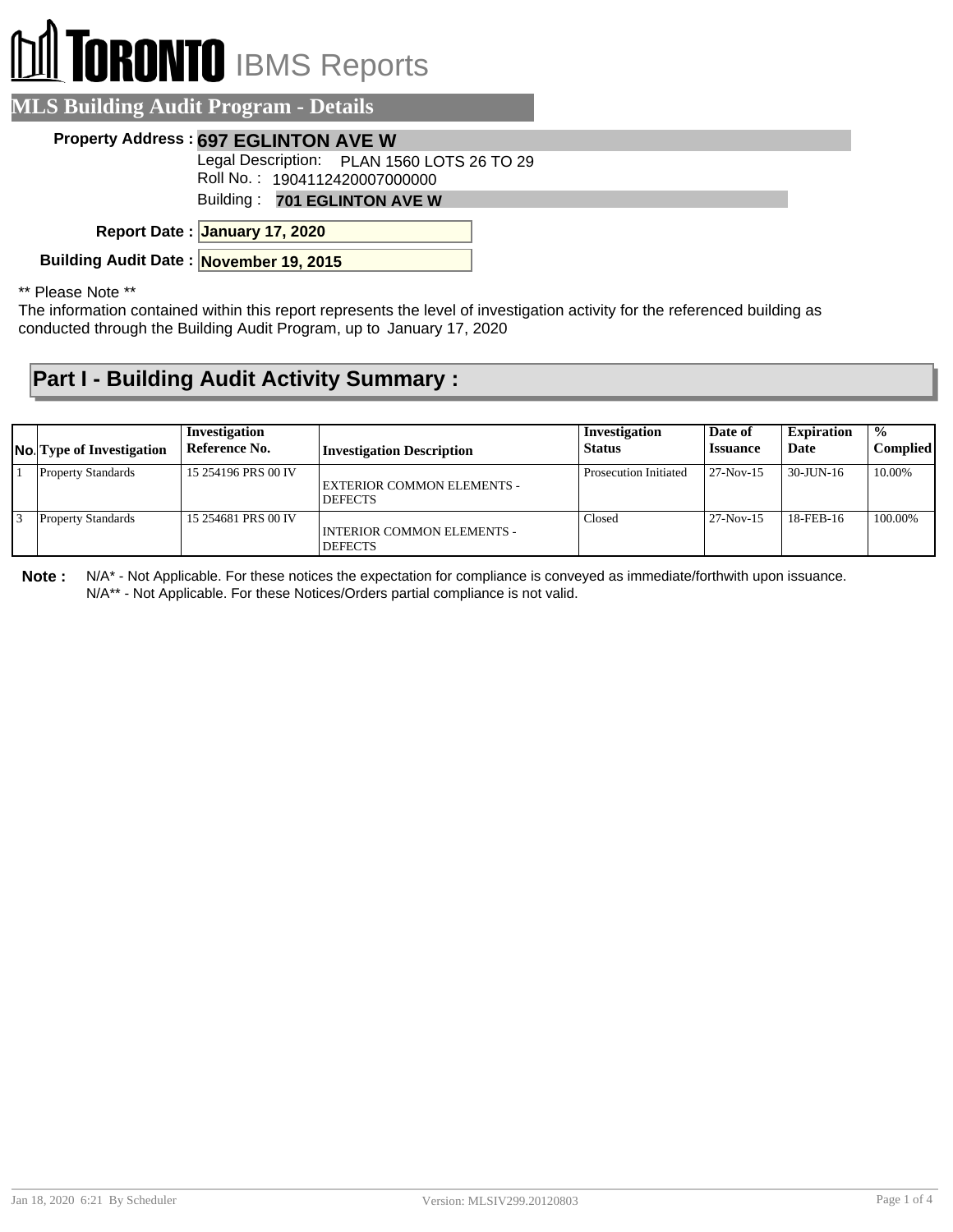## **TORONTO** IBMS Reports

| <b>MLS Building Audit Program - Details</b>                                 |  |
|-----------------------------------------------------------------------------|--|
| Property Address: 697 EGLINTON AVE W                                        |  |
| Legal Description: PLAN 1560 LOTS 26 TO 29<br>Roll No.: 1904112420007000000 |  |
| Building: 701 EGLINTON AVE W                                                |  |
| Report Date: January 17, 2020                                               |  |
| Building Audit Date: November 19, 2015                                      |  |
|                                                                             |  |

\*\* Please Note \*\*

The information contained within this report represents the level of investigation activity for the referenced building as conducted through the Building Audit Program, up to January 17, 2020

## **Part I - Building Audit Activity Summary :**

| <b>No.</b> Type of Investigation | Investigation<br>Reference No. | <b>Investigation Description</b>                    | Investigation<br><b>Status</b> | Date of<br><b>Issuance</b> | <b>Expiration</b><br>Date | $\frac{0}{0}$<br><b>Complied</b> |
|----------------------------------|--------------------------------|-----------------------------------------------------|--------------------------------|----------------------------|---------------------------|----------------------------------|
| <b>Property Standards</b>        | 15 254196 PRS 00 IV            | EXTERIOR COMMON ELEMENTS -<br><b>DEFECTS</b>        | Prosecution Initiated          | $27-Nov-15$                | 30-JUN-16                 | 10.00%                           |
| <b>Property Standards</b>        | 15 254681 PRS 00 IV            | <b>INTERIOR COMMON ELEMENTS -</b><br><b>DEFECTS</b> | Closed                         | $27-Nov-15$                | 18-FEB-16                 | 100.00%                          |

**Note :** N/A\* - Not Applicable. For these notices the expectation for compliance is conveyed as immediate/forthwith upon issuance. N/A\*\* - Not Applicable. For these Notices/Orders partial compliance is not valid.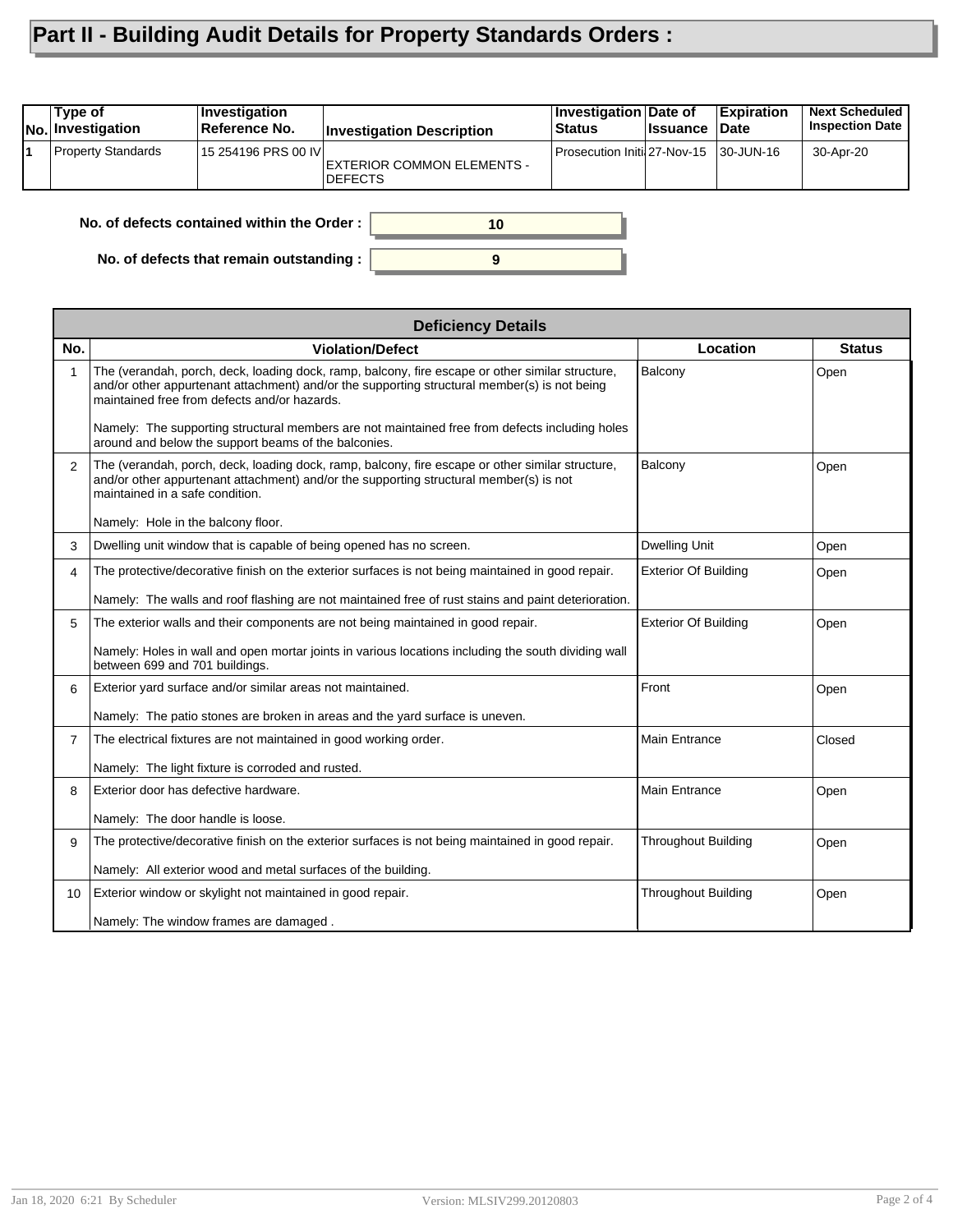## **Part II - Building Audit Details for Property Standards Orders :**

| Type of<br>No. Investigation                     | Investigation<br>Reference No. | <b>Investigation Description</b>              | Investigation Date of<br><b>Status</b> | ∣Issuance ⊺Date | <b>Expiration</b> | <b>Next Scheduled</b><br><b>Inspection Date</b> |  |
|--------------------------------------------------|--------------------------------|-----------------------------------------------|----------------------------------------|-----------------|-------------------|-------------------------------------------------|--|
| <b>Property Standards</b>                        | 15 254196 PRS 00 IV            | EXTERIOR COMMON ELEMENTS -<br><b>IDEFECTS</b> | Prosecution Initil 27-Nov-15 30-JUN-16 |                 |                   | 30-Apr-20                                       |  |
| No. of defects contained within the Order:<br>10 |                                |                                               |                                        |                 |                   |                                                 |  |

**9**

**No. of defects that remain outstanding :**

|                 | <b>Deficiency Details</b>                                                                                                                                                                                                                                                                                                                          |                             |               |  |  |  |  |  |
|-----------------|----------------------------------------------------------------------------------------------------------------------------------------------------------------------------------------------------------------------------------------------------------------------------------------------------------------------------------------------------|-----------------------------|---------------|--|--|--|--|--|
| No.             | <b>Violation/Defect</b>                                                                                                                                                                                                                                                                                                                            | Location                    | <b>Status</b> |  |  |  |  |  |
|                 | The (verandah, porch, deck, loading dock, ramp, balcony, fire escape or other similar structure,<br>and/or other appurtenant attachment) and/or the supporting structural member(s) is not being<br>maintained free from defects and/or hazards.<br>Namely: The supporting structural members are not maintained free from defects including holes | Balcony                     | Open          |  |  |  |  |  |
|                 | around and below the support beams of the balconies.                                                                                                                                                                                                                                                                                               |                             |               |  |  |  |  |  |
| $\overline{2}$  | The (verandah, porch, deck, loading dock, ramp, balcony, fire escape or other similar structure,<br>and/or other appurtenant attachment) and/or the supporting structural member(s) is not<br>maintained in a safe condition.                                                                                                                      | Balcony                     | Open          |  |  |  |  |  |
|                 | Namely: Hole in the balcony floor.                                                                                                                                                                                                                                                                                                                 |                             |               |  |  |  |  |  |
| 3               | Dwelling unit window that is capable of being opened has no screen.                                                                                                                                                                                                                                                                                | <b>Dwelling Unit</b>        | Open          |  |  |  |  |  |
| 4               | The protective/decorative finish on the exterior surfaces is not being maintained in good repair.                                                                                                                                                                                                                                                  | <b>Exterior Of Building</b> | Open          |  |  |  |  |  |
|                 | Namely: The walls and roof flashing are not maintained free of rust stains and paint deterioration.                                                                                                                                                                                                                                                |                             |               |  |  |  |  |  |
| 5               | The exterior walls and their components are not being maintained in good repair.                                                                                                                                                                                                                                                                   | <b>Exterior Of Building</b> | Open          |  |  |  |  |  |
|                 | Namely: Holes in wall and open mortar joints in various locations including the south dividing wall<br>between 699 and 701 buildings.                                                                                                                                                                                                              |                             |               |  |  |  |  |  |
| 6               | Exterior yard surface and/or similar areas not maintained.                                                                                                                                                                                                                                                                                         | Front                       | Open          |  |  |  |  |  |
|                 | Namely: The patio stones are broken in areas and the yard surface is uneven.                                                                                                                                                                                                                                                                       |                             |               |  |  |  |  |  |
| $\overline{7}$  | The electrical fixtures are not maintained in good working order.                                                                                                                                                                                                                                                                                  | <b>Main Entrance</b>        | Closed        |  |  |  |  |  |
|                 | Namely: The light fixture is corroded and rusted.                                                                                                                                                                                                                                                                                                  |                             |               |  |  |  |  |  |
| 8               | Exterior door has defective hardware.                                                                                                                                                                                                                                                                                                              | <b>Main Entrance</b>        | Open          |  |  |  |  |  |
|                 | Namely: The door handle is loose.                                                                                                                                                                                                                                                                                                                  |                             |               |  |  |  |  |  |
| 9               | The protective/decorative finish on the exterior surfaces is not being maintained in good repair.                                                                                                                                                                                                                                                  | <b>Throughout Building</b>  | Open          |  |  |  |  |  |
|                 | Namely: All exterior wood and metal surfaces of the building.                                                                                                                                                                                                                                                                                      |                             |               |  |  |  |  |  |
| 10 <sup>°</sup> | Exterior window or skylight not maintained in good repair.                                                                                                                                                                                                                                                                                         | <b>Throughout Building</b>  | Open          |  |  |  |  |  |
|                 | Namely: The window frames are damaged.                                                                                                                                                                                                                                                                                                             |                             |               |  |  |  |  |  |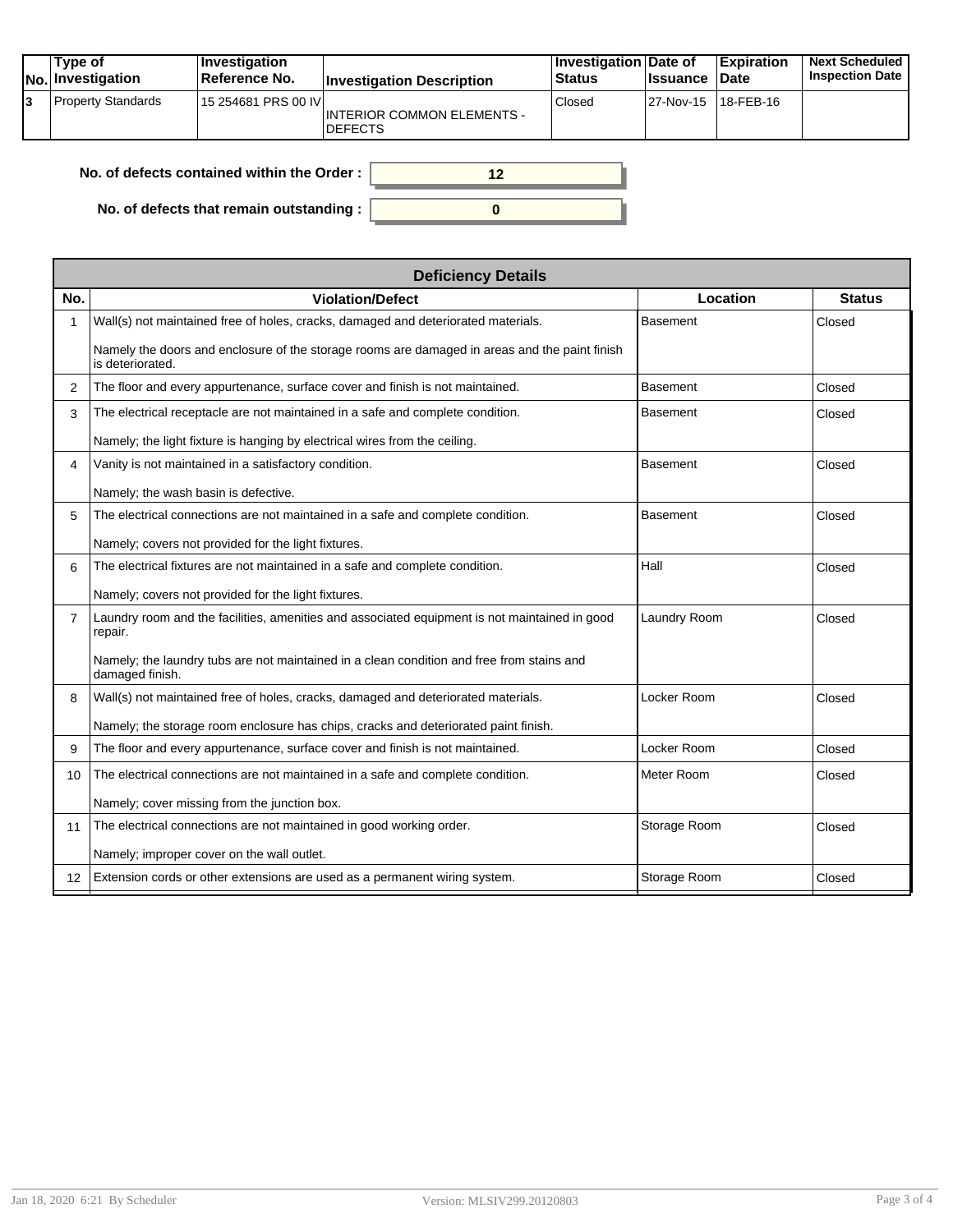| Tvpe of<br>No. Investigation | <b>Investigation</b><br><b>Reference No.</b> | <b>Investigation Description</b>                    | $ $ Investigation $ $ Date of<br><b>Status</b> | <b>Issuance</b> | <b>Expiration</b><br><b>Date</b> | Next Scheduled I<br><b>Inspection Date</b> |
|------------------------------|----------------------------------------------|-----------------------------------------------------|------------------------------------------------|-----------------|----------------------------------|--------------------------------------------|
| <b>Property Standards</b>    | 15 254681 PRS 00 IV                          | <b>INTERIOR COMMON ELEMENTS -</b><br><b>DEFECTS</b> | Closed                                         |                 | 27-Nov-15 18-FEB-16              |                                            |

| No. of defects contained within the Order :      |  |
|--------------------------------------------------|--|
| No. of defects that remain outstanding : $\vert$ |  |

|                 | <b>Deficiency Details</b>                                                                                         |                 |               |  |  |  |  |  |
|-----------------|-------------------------------------------------------------------------------------------------------------------|-----------------|---------------|--|--|--|--|--|
| No.             | <b>Violation/Defect</b>                                                                                           | Location        | <b>Status</b> |  |  |  |  |  |
| $\mathbf{1}$    | Wall(s) not maintained free of holes, cracks, damaged and deteriorated materials.                                 | <b>Basement</b> | Closed        |  |  |  |  |  |
|                 | Namely the doors and enclosure of the storage rooms are damaged in areas and the paint finish<br>is deteriorated. |                 |               |  |  |  |  |  |
| 2               | The floor and every appurtenance, surface cover and finish is not maintained.                                     | <b>Basement</b> | Closed        |  |  |  |  |  |
| 3               | The electrical receptacle are not maintained in a safe and complete condition.                                    | <b>Basement</b> | Closed        |  |  |  |  |  |
|                 | Namely; the light fixture is hanging by electrical wires from the ceiling.                                        |                 |               |  |  |  |  |  |
| 4               | Vanity is not maintained in a satisfactory condition.                                                             | <b>Basement</b> | Closed        |  |  |  |  |  |
|                 | Namely; the wash basin is defective.                                                                              |                 |               |  |  |  |  |  |
| 5               | The electrical connections are not maintained in a safe and complete condition.                                   | <b>Basement</b> | Closed        |  |  |  |  |  |
|                 | Namely; covers not provided for the light fixtures.                                                               |                 |               |  |  |  |  |  |
| 6               | The electrical fixtures are not maintained in a safe and complete condition.                                      | Hall            | Closed        |  |  |  |  |  |
|                 | Namely; covers not provided for the light fixtures.                                                               |                 |               |  |  |  |  |  |
| $\overline{7}$  | Laundry room and the facilities, amenities and associated equipment is not maintained in good<br>repair.          | Laundry Room    | Closed        |  |  |  |  |  |
|                 | Namely; the laundry tubs are not maintained in a clean condition and free from stains and<br>damaged finish.      |                 |               |  |  |  |  |  |
| 8               | Wall(s) not maintained free of holes, cracks, damaged and deteriorated materials.                                 | Locker Room     | Closed        |  |  |  |  |  |
|                 | Namely; the storage room enclosure has chips, cracks and deteriorated paint finish.                               |                 |               |  |  |  |  |  |
| 9               | The floor and every appurtenance, surface cover and finish is not maintained.                                     | Locker Room     | Closed        |  |  |  |  |  |
| 10              | The electrical connections are not maintained in a safe and complete condition.                                   | Meter Room      | Closed        |  |  |  |  |  |
|                 | Namely; cover missing from the junction box.                                                                      |                 |               |  |  |  |  |  |
| 11              | The electrical connections are not maintained in good working order.                                              | Storage Room    | Closed        |  |  |  |  |  |
|                 | Namely; improper cover on the wall outlet.                                                                        |                 |               |  |  |  |  |  |
| 12 <sup>2</sup> | Extension cords or other extensions are used as a permanent wiring system.                                        | Storage Room    | Closed        |  |  |  |  |  |